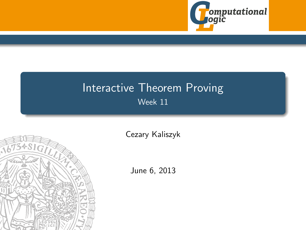

# Interactive Theorem Proving Week 11

<span id="page-0-0"></span>

[Cezary Kaliszyk](http://cl-informatik.uibk.ac.at/~cek)

June 6, 2013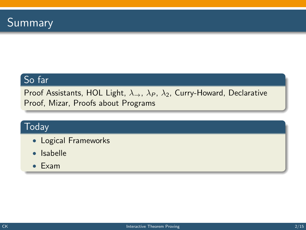## So far

Proof Assistants, HOL Light,  $\lambda_{\rightarrow}$ ,  $\lambda_P$ ,  $\lambda_2$ , Curry-Howard, Declarative Proof, Mizar, Proofs about Programs

## **Today**

- Logical Frameworks
- Isabelle
- Exam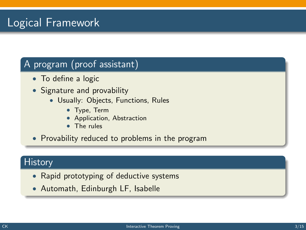# Logical Framework

## A program (proof assistant)

- To define a logic
- Signature and provability
	- Usually: Objects, Functions, Rules
		- Type, Term
		- Application, Abstraction
		- The rules
- Provability reduced to problems in the program

#### **History**

- Rapid prototyping of deductive systems
- Automath, Edinburgh LF, Isabelle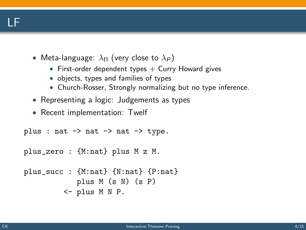## LF

- Meta-language:  $\lambda_{\Pi}$  (very close to  $\lambda_P$ )
	- First-order dependent types  $+$  Curry Howard gives
	- objects, types and families of types
	- Church-Rosser, Strongly normalizing but no type inference.
- Representing a logic: Judgements as types
- Recent implementation: Twelf

```
plus : nat \rightarrow nat \rightarrow nat \rightarrow type.
plus_zero : {M:nat} plus M z M.
plus_succ : {M:nat} {N:nat} {P:nat}
              plus M (s N) (s P)
           <- plus M N P.
```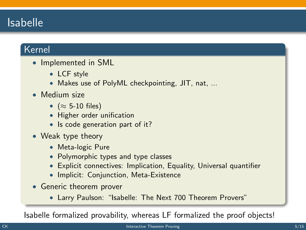## Isabelle

#### Kernel

- Implemented in SML
	- LCF style
	- Makes use of PolyML checkpointing, JIT, nat, ...
- Medium size
	- ( $\approx$  5-10 files)
	- Higher order unification
	- Is code generation part of it?
- Weak type theory
	- Meta-logic Pure
	- Polymorphic types and type classes
	- Explicit connectives: Implication, Equality, Universal quantifier
	- Implicit: Conjunction, Meta-Existence
- Generic theorem prover
	- Larry Paulson: "Isabelle: The Next 700 Theorem Provers"

Isabelle formalized provability, whereas LF formalized the proof objects!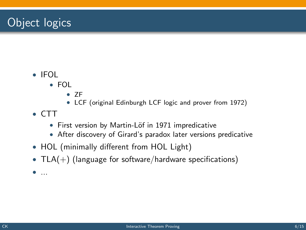# Object logics

- IFOL
	- FOL
		- ZF
		- LCF (original Edinburgh LCF logic and prover from 1972)
- CTT
	- First version by Martin-Löf in 1971 impredicative
	- After discovery of Girard's paradox later versions predicative
- HOL (minimally different from HOL Light)
- $TLA(+)$  (language for software/hardware specifications)
- ...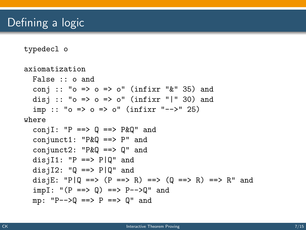typedecl o

```
axiomatization
 False :: o and
  conj :: "o \Rightarrow o \Rightarrow o" (infixr "\&" 35) and
  disj :: "o => o => o" (infixr "|" 30) and
  imp :: "o => o => o" (infixr "-->" 25)
where
  conjI: PP == > Q == > P&Q" and
  conjunct1: "P&Q ==> P" and
  conjunct2: "P&Q ==> Q" and
  disjI1: "P == > P|Q" and
  disjI2: "0 == P|0" and
  disjE: "P|Q ==> (P ==> R) ==> (Q ==> R) ==> R" and
  impl: "(P ==> Q) ==> P-->Q" andmp: "P-->Q ==> P ==> Q" and
```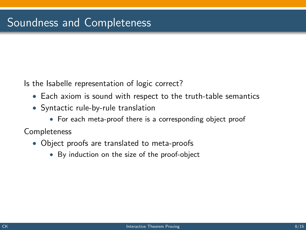Is the Isabelle representation of logic correct?

- Each axiom is sound with respect to the truth-table semantics
- Syntactic rule-by-rule translation
	- For each meta-proof there is a corresponding object proof

Completeness

- Object proofs are translated to meta-proofs
	- By induction on the size of the proof-object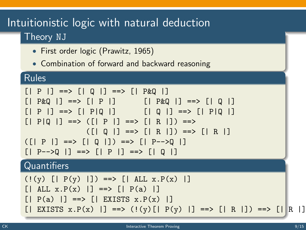## Intuitionistic logic with natural deduction Theory NJ

- First order logic (Prawitz, 1965)
- Combination of forward and backward reasoning

#### Rules

```
[ | P | ] =-> [ | Q | ] =-> [ | P \& Q | ][| P \& Q |] ==& > [| P |] [| P \& Q |] ==& > [ | Q |][ | P | ] = \Rightarrow [ | P | Q | ] [ | Q | ] = \Rightarrow [ | P | Q | ][ | P|Q | ] ==> ([ | P | ] ==> [ | R | ]) ==>(|[0|] ==>|[R|]) ==>|[R|](|P| = \Rightarrow |Q| |Q| = \Rightarrow |P = \Rightarrow |Q|[ | P-->Q | ] == > [ | P | ] == > [ | Q | ]Quantifiers
```
(!(y) [| P(y) |]) ==> [| ALL x.P(x) |] [| ALL x.P(x) |] ==> [| P(a) |] [| P(a) |] ==> [| EXISTS x.P(x) |] [| EXISTS x.P(x) |] ==> (!(y)[| P(y) |] ==> [| R |]) ==> [| R |]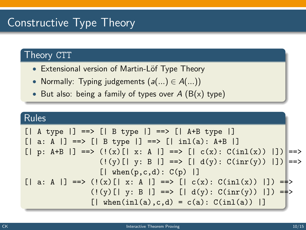## Constructive Type Theory

#### Theory CTT

- Extensional version of Martin-Löf Type Theory
- Normally: Typing judgements  $(a(...) \in A(...))$
- But also: being a family of types over  $A(B(x)$  type)

#### Rules

```
\n
$$
\begin{array}{ll}\n\text{[} \mid A \text{ type } | \text{]} & = > \text{[} \mid B \text{ type } | \text{]} \text{ } == > \text{[} \mid A + B \text{ type } | \text{]} \\
\text{[} \mid a: A \mid \text{]} & = > \text{[} \mid B \text{ type } | \text{]} \text{ } == > \text{[} \mid \text{inl}(a): A + B \mid \text{]} \\
\text{[} \mid p: A + B \mid \text{]} & = > \text{((x) [} \mid x: A \mid \text{]} == > \text{[} \mid c(x): C(\text{inl}(x)) \mid \text{]} \text{)} == > \\
& & (\text{!}(y) [ \mid y: B \mid \text{]} == > \text{[} \mid d(y): C(\text{inr}(y)) \mid \text{]} \text{)} == > \\
\text{[} \mid \text{when}(p, c, d): C(p) \mid \text{]} & & \text{[} \mid c(x): C(\text{inl}(x)) \mid \text{]} \text{)} == > \\
& & (\text{!}(y) [ \mid y: B \mid \text{]} == > \text{[} \mid d(y): C(\text{inr}(y)) \mid \text{]} \text{)} == > \\
& & \text{[} \mid \text{when}(\text{inl}(a), c, d) = c(a): C(\text{inl}(a)) \mid \text{]} \end{array}
$$

```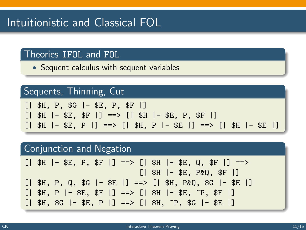# Intuitionistic and Classical FOL

#### Theories IFOL and FOL

• Sequent calculus with sequent variables

#### Sequents, Thinning, Cut

|  | $[$   \$H, P, \$G  - \$E, P, \$F  ]                                   |
|--|-----------------------------------------------------------------------|
|  | $[$   \$H  - \$E, \$F  ] ==> $[$   \$H  - \$E, P, \$F  ]              |
|  | $[   $H   - $E, P   ] = > [   $H, P   - $E   ] = > [   $H   - $E   ]$ |

#### Conjunction and Negation

|  | $[   $H   - $E, P, $F   ] == > [   $H   - $E, Q, $F   ] == >$  |  |  |  |                               |  |  |  |
|--|----------------------------------------------------------------|--|--|--|-------------------------------|--|--|--|
|  |                                                                |  |  |  | $[$   \$H  - \$E, P&Q, \$F  ] |  |  |  |
|  | $[   $H, P, Q, $G   - $E   ] == > [   $H, P\&Q, $G   - $E   ]$ |  |  |  |                               |  |  |  |
|  | $[   $H, P   - $E, $F   ] == > [   $H   - $E, "P, $F   ]$      |  |  |  |                               |  |  |  |
|  | $[   $H, $G   - $E, P   ] == > [   $H, "P, $G   - $E   ]$      |  |  |  |                               |  |  |  |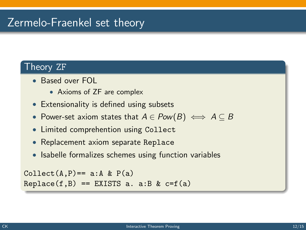## Zermelo-Fraenkel set theory

#### Theory ZF

- Based over FOL
	- Axioms of ZF are complex
- Extensionality is defined using subsets
- Power-set axiom states that  $A \in Pow(B) \iff A \subseteq B$
- Limited comprehention using Collect
- Replacement axiom separate Replace
- Isabelle formalizes schemes using function variables

```
Collect(A, P) == a:A \& P(a)Replace(f, B) == EXISTS a. a:B & c=f(a)
```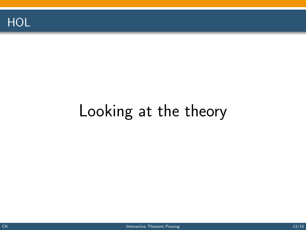

# Looking at the theory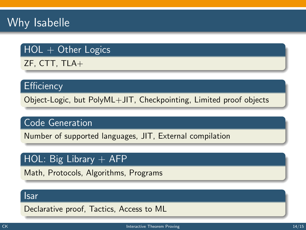# Why Isabelle

## $HOL + Other Logics$

ZF, CTT, TLA+

#### **Efficiency**

Object-Logic, but PolyML+JIT, Checkpointing, Limited proof objects

#### Code Generation

Number of supported languages, JIT, External compilation

#### HOL: Big Library  $+$  AFP

Math, Protocols, Algorithms, Programs

#### Isar

Declarative proof, Tactics, Access to ML